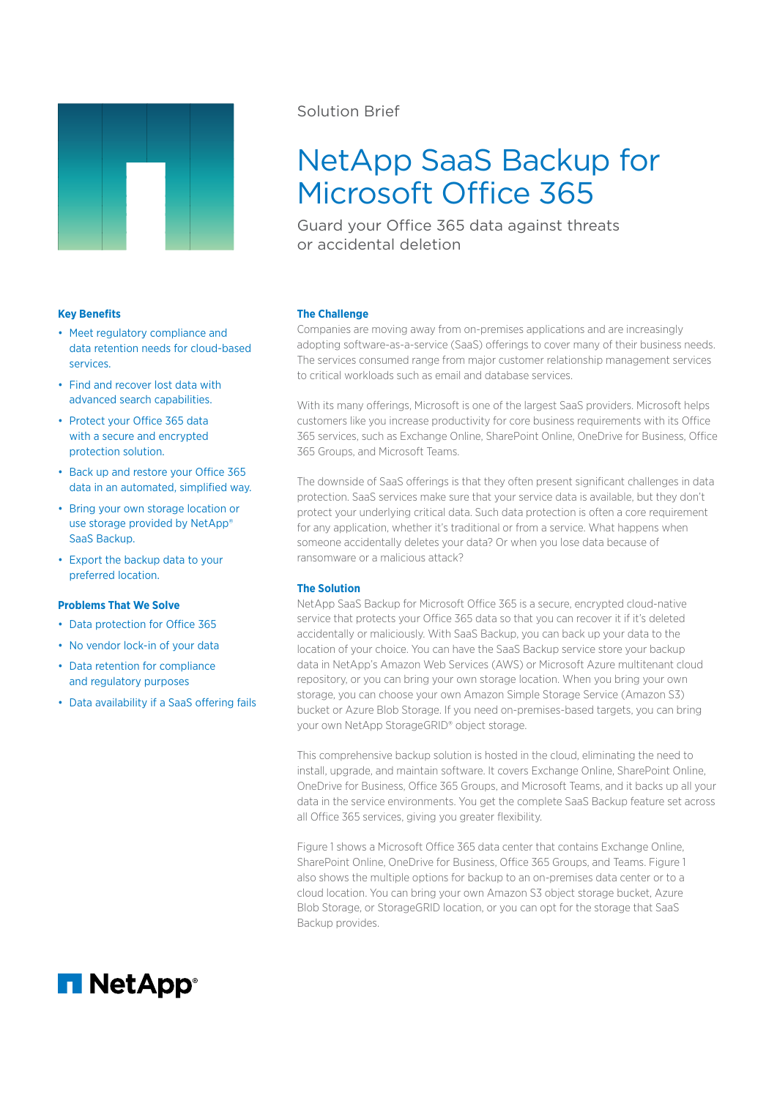

# Solution Brief

# NetApp SaaS Backup for Microsoft Office 365

Guard your Office 365 data against threats or accidental deletion

### **Key Benefits**

- Meet regulatory compliance and data retention needs for cloud-based services.
- Find and recover lost data with advanced search capabilities.
- Protect your Office 365 data with a secure and encrypted protection solution.
- Back up and restore your Office 365 data in an automated, simplified way.
- Bring your own storage location or use storage provided by NetApp® SaaS Backup.
- Export the backup data to your preferred location.

## **Problems That We Solve**

- Data protection for Office 365
- No vendor lock-in of your data
- Data retention for compliance and regulatory purposes
- Data availability if a SaaS offering fails

### **The Challenge**

Companies are moving away from on-premises applications and are increasingly adopting software-as-a-service (SaaS) offerings to cover many of their business needs. The services consumed range from major customer relationship management services to critical workloads such as email and database services.

With its many offerings, Microsoft is one of the largest SaaS providers. Microsoft helps customers like you increase productivity for core business requirements with its Office 365 services, such as Exchange Online, SharePoint Online, OneDrive for Business, Office 365 Groups, and Microsoft Teams.

The downside of SaaS offerings is that they often present significant challenges in data protection. SaaS services make sure that your service data is available, but they don't protect your underlying critical data. Such data protection is often a core requirement for any application, whether it's traditional or from a service. What happens when someone accidentally deletes your data? Or when you lose data because of ransomware or a malicious attack?

### **The Solution**

NetApp SaaS Backup for Microsoft Office 365 is a secure, encrypted cloud-native service that protects your Office 365 data so that you can recover it if it's deleted accidentally or maliciously. With SaaS Backup, you can back up your data to the location of your choice. You can have the SaaS Backup service store your backup data in NetApp's Amazon Web Services (AWS) or Microsoft Azure multitenant cloud repository, or you can bring your own storage location. When you bring your own storage, you can choose your own Amazon Simple Storage Service (Amazon S3) bucket or Azure Blob Storage. If you need on-premises-based targets, you can bring your own NetApp StorageGRID® object storage.

This comprehensive backup solution is hosted in the cloud, eliminating the need to install, upgrade, and maintain software. It covers Exchange Online, SharePoint Online, OneDrive for Business, Office 365 Groups, and Microsoft Teams, and it backs up all your data in the service environments. You get the complete SaaS Backup feature set across all Office 365 services, giving you greater flexibility.

Figure 1 shows a Microsoft Office 365 data center that contains Exchange Online, SharePoint Online, OneDrive for Business, Office 365 Groups, and Teams. Figure 1 also shows the multiple options for backup to an on-premises data center or to a cloud location. You can bring your own Amazon S3 object storage bucket, Azure Blob Storage, or StorageGRID location, or you can opt for the storage that SaaS Backup provides.